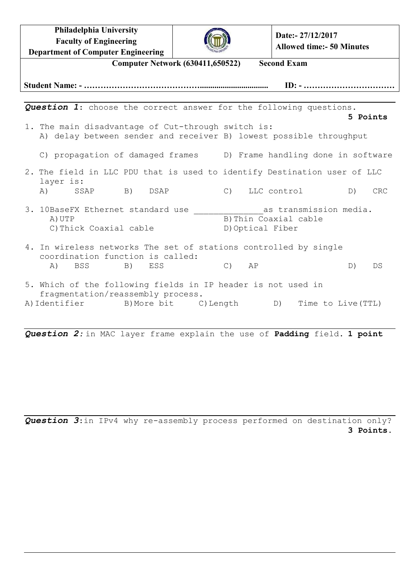**Philadelphia University Faculty of Engineering Department of Computer Engineering**



**Date:- 27/12/2017 Allowed time:- 50 Minutes**

| <b>Computer Network (630411,650522)</b><br><b>Second Exam</b>                                                                                |            |
|----------------------------------------------------------------------------------------------------------------------------------------------|------------|
|                                                                                                                                              |            |
|                                                                                                                                              |            |
| <b>Question 1:</b> choose the correct answer for the following questions.<br>5 Points                                                        |            |
| 1. The main disadvantage of Cut-through switch is:                                                                                           |            |
| A) delay between sender and receiver B) lowest possible throughput                                                                           |            |
| C) propagation of damaged frames (D) Frame handling done in software                                                                         |            |
| 2. The field in LLC PDU that is used to identify Destination user of LLC<br>layer is:                                                        |            |
| A) SSAP B) DSAP<br>C) LLC control D)                                                                                                         | <b>CRC</b> |
| 3. 10BaseFX Ethernet standard use<br>as transmission media.<br>B) Thin Coaxial cable<br>A) UTP<br>C) Thick Coaxial cable<br>D) Optical Fiber |            |
| 4. In wireless networks The set of stations controlled by single<br>coordination function is called:                                         |            |
| C) AP<br>A) BSS B)<br>ESS                                                                                                                    | D)<br>DS   |
| 5. Which of the following fields in IP header is not used in<br>fragmentation/reassembly process.                                            |            |
| A) Identifier B) More bit C) Length D) Time to Live (TTL)                                                                                    |            |

*Question 2:* in MAC layer frame explain the use of **Padding** field. **1 point**

*Question 3*:in IPv4 why re-assembly process performed on destination only? **3 Points.**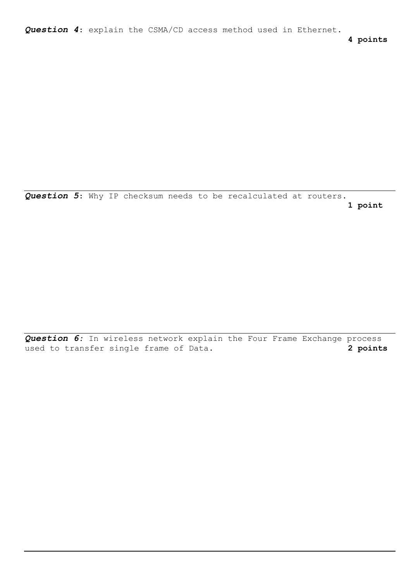*Question 4*: explain the CSMA/CD access method used in Ethernet.

**4 points**

*Question 5*: Why IP checksum needs to be recalculated at routers. **1 point**

*Question 6:* In wireless network explain the Four Frame Exchange process used to transfer single frame of Data. **2 points**